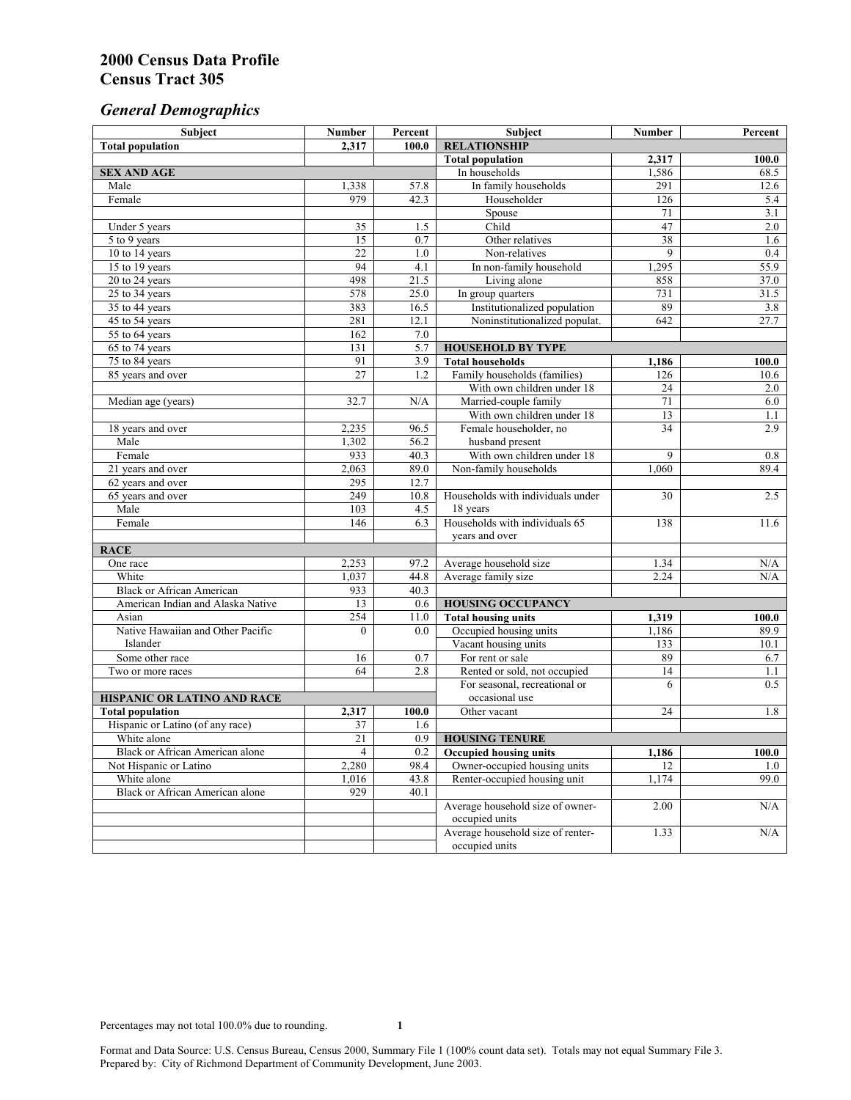# *General Demographics*

| Subject                                | <b>Number</b>   | Percent          | Subject                                                    | <b>Number</b> | Percent    |
|----------------------------------------|-----------------|------------------|------------------------------------------------------------|---------------|------------|
| <b>Total population</b>                | 2,317           | 100.0            | <b>RELATIONSHIP</b>                                        |               |            |
|                                        |                 |                  | <b>Total population</b>                                    | 2,317         | 100.0      |
| <b>SEX AND AGE</b>                     |                 |                  | In households                                              | 1,586         | 68.5       |
| Male                                   | 1,338           | 57.8             | In family households                                       | 291           | 12.6       |
| Female                                 | 979             | 42.3             | Householder                                                | 126           | 5.4        |
|                                        |                 |                  | Spouse                                                     | 71            | 3.1        |
| Under 5 years                          | 35              | 1.5              | Child                                                      | 47            | $2.0\,$    |
| 5 to 9 years                           | $\overline{15}$ | $\overline{0.7}$ | Other relatives                                            | 38            | 1.6        |
| 10 to 14 years                         | $22\,$          | 1.0              | Non-relatives                                              | 9             | 0.4        |
| 15 to 19 years                         | 94              | 4.1              | In non-family household                                    | 1,295         | 55.9       |
| 20 to 24 years                         | 498             | 21.5             | Living alone                                               | 858           | 37.0       |
| 25 to 34 years                         | 578             | 25.0             | In group quarters                                          | 731           | 31.5       |
| 35 to 44 years                         | 383             | 16.5             | Institutionalized population                               | 89            | 3.8        |
| 45 to 54 years                         | 281             | 12.1             | Noninstitutionalized populat.                              | 642           | 27.7       |
| 55 to 64 years                         | 162             | 7.0              |                                                            |               |            |
| 65 to 74 years                         | 131             | 5.7              | <b>HOUSEHOLD BY TYPE</b>                                   |               |            |
| 75 to 84 years                         | 91<br>27        | 3.9              | <b>Total households</b>                                    | 1,186         | 100.0      |
| 85 years and over                      |                 | 1.2              | Family households (families)<br>With own children under 18 | 126<br>24     | 10.6       |
| Median age (years)                     | 32.7            | N/A              | Married-couple family                                      | 71            | 2.0<br>6.0 |
|                                        |                 |                  | With own children under 18                                 | 13            | 1.1        |
|                                        | 2,235           | 96.5             | Female householder, no                                     | 34            | 2.9        |
| 18 years and over<br>Male              | 1,302           | 56.2             | husband present                                            |               |            |
| Female                                 | 933             | 40.3             | With own children under 18                                 | 9             | 0.8        |
| 21 years and over                      | 2,063           | 89.0             | Non-family households                                      | 1,060         | 89.4       |
| 62 years and over                      | 295             | 12.7             |                                                            |               |            |
| 65 years and over                      | 249             | 10.8             | Households with individuals under                          | 30            | 2.5        |
| Male                                   | 103             | 4.5              | 18 years                                                   |               |            |
| Female                                 | 146             | 6.3              | Households with individuals 65                             | 138           | 11.6       |
|                                        |                 |                  | years and over                                             |               |            |
| <b>RACE</b>                            |                 |                  |                                                            |               |            |
| One race                               | 2,253           | 97.2             | Average household size                                     | 1.34          | $\rm N/A$  |
| White                                  | 1,037           | 44.8             | Average family size                                        | 2.24          | N/A        |
| <b>Black or African American</b>       | 933             | 40.3             |                                                            |               |            |
| American Indian and Alaska Native      | 13              | 0.6              | <b>HOUSING OCCUPANCY</b>                                   |               |            |
| Asian                                  | 254             | 11.0             | <b>Total housing units</b>                                 | 1,319         | 100.0      |
| Native Hawaiian and Other Pacific      | $\theta$        | 0.0              | Occupied housing units                                     | 1,186         | 89.9       |
| Islander                               |                 |                  | Vacant housing units                                       | 133           | 10.1       |
| Some other race                        | 16              | 0.7              | For rent or sale                                           | 89            | 6.7        |
| Two or more races                      | 64              | 2.8              | Rented or sold, not occupied                               | 14            | 1.1        |
|                                        |                 |                  | For seasonal, recreational or                              | 6             | 0.5        |
| <b>HISPANIC OR LATINO AND RACE</b>     |                 |                  | occasional use                                             |               |            |
| <b>Total population</b>                | 2,317           | 100.0            | Other vacant                                               | 24            | 1.8        |
| Hispanic or Latino (of any race)       | 37              | 1.6              |                                                            |               |            |
| White alone                            | $\overline{21}$ | 0.9              | <b>HOUSING TENURE</b>                                      |               |            |
| Black or African American alone        | 4               | 0.2              | Occupied housing units                                     | 1,186         | 100.0      |
| Not Hispanic or Latino                 | 2,280           | 98.4             | Owner-occupied housing units                               | 12            | 1.0        |
| White alone                            | 1,016           | 43.8             | Renter-occupied housing unit                               | 1,174         | 99.0       |
| <b>Black or African American alone</b> | 929             | 40.1             |                                                            |               |            |
|                                        |                 |                  | Average household size of owner-                           | 2.00          | N/A        |
|                                        |                 |                  | occupied units                                             |               |            |
|                                        |                 |                  | Average household size of renter-                          | 1.33          | N/A        |
|                                        |                 |                  | occupied units                                             |               |            |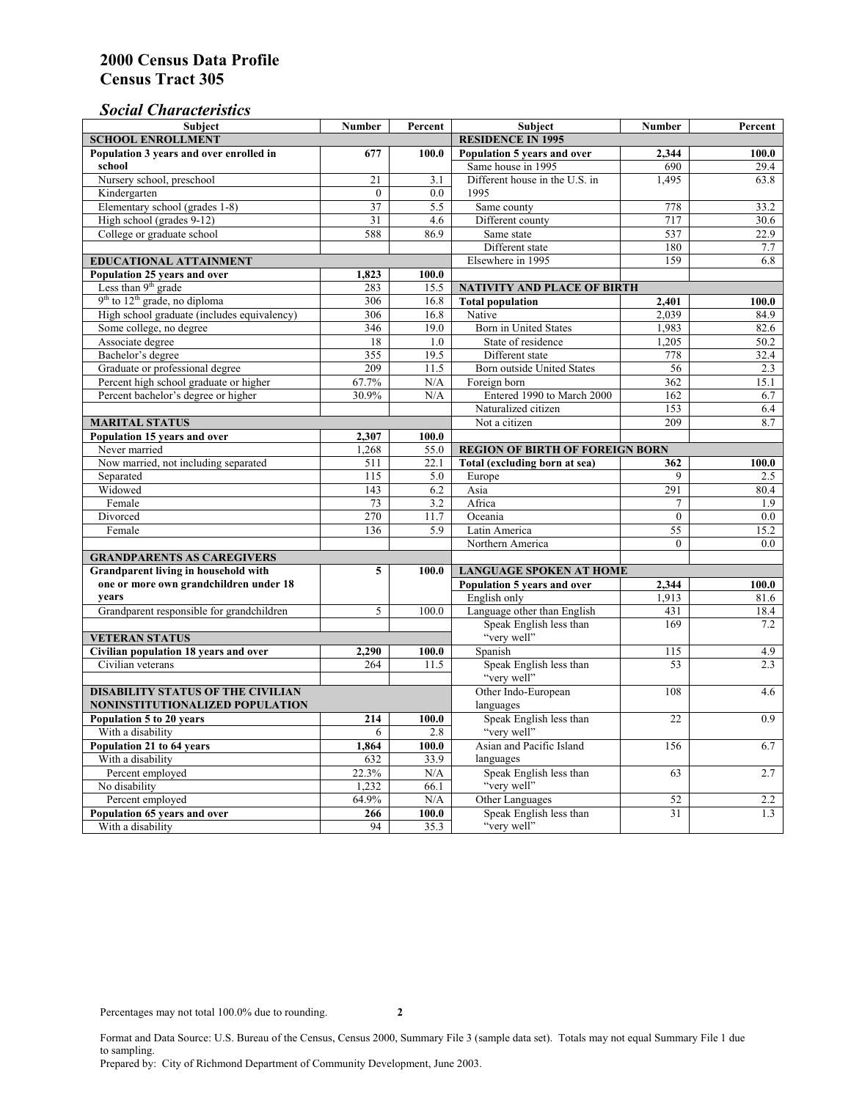# *Social Characteristics*

| <b>Subject</b>                                             | <b>Number</b>            | Percent       | <b>Subject</b>                                                                  | <b>Number</b> | Percent      |
|------------------------------------------------------------|--------------------------|---------------|---------------------------------------------------------------------------------|---------------|--------------|
| <b>SCHOOL ENROLLMENT</b>                                   | <b>RESIDENCE IN 1995</b> |               |                                                                                 |               |              |
| Population 3 years and over enrolled in                    | 677                      | 100.0         | Population 5 years and over                                                     | 2,344         | 100.0        |
| school                                                     |                          |               | Same house in 1995                                                              | 690           | 29.4         |
| Nursery school, preschool                                  | 21                       | 3.1           | Different house in the U.S. in                                                  | 1.495         | 63.8         |
| Kindergarten                                               | $\Omega$                 | 0.0           | 1995                                                                            |               |              |
| Elementary school (grades 1-8)                             | 37                       | 5.5           | Same county                                                                     | 778           | 33.2         |
| High school (grades 9-12)                                  | 31                       | 4.6           | Different county                                                                | 717           | 30.6         |
| College or graduate school                                 | 588                      | 86.9          | Same state                                                                      | 537           | 22.9         |
|                                                            |                          |               | Different state                                                                 | 180           | 7.7          |
| EDUCATIONAL ATTAINMENT                                     | Elsewhere in 1995        | 159           | 6.8                                                                             |               |              |
| Population 25 years and over                               | 1,823                    | 100.0         |                                                                                 |               |              |
| Less than 9 <sup>th</sup> grade                            | 283                      | 15.5          | NATIVITY AND PLACE OF BIRTH                                                     |               |              |
| $9th$ to $12th$ grade, no diploma                          | 306                      | 16.8          | <b>Total population</b>                                                         | 2,401         | 100.0        |
| High school graduate (includes equivalency)                | 306                      | 16.8          | Native                                                                          | 2.039         | 84.9         |
| Some college, no degree                                    | 346                      | 19.0          | Born in United States                                                           | 1,983         | 82.6         |
| Associate degree                                           | 18                       | 1.0           | State of residence                                                              | 1,205         | 50.2         |
| Bachelor's degree                                          | 355                      | 19.5          | Different state                                                                 | 778           | 32.4         |
| Graduate or professional degree                            | 209                      | 11.5          | Born outside United States                                                      | 56            | 2.3          |
| Percent high school graduate or higher                     | 67.7%                    | N/A           | Foreign born                                                                    | 362           | 15.1         |
| Percent bachelor's degree or higher                        | 30.9%                    | N/A           | Entered 1990 to March 2000                                                      | 162           | 6.7          |
|                                                            |                          |               | Naturalized citizen                                                             | 153           | 6.4          |
| <b>MARITAL STATUS</b>                                      | Not a citizen            | 209           | 8.7                                                                             |               |              |
| Population 15 years and over                               | 2,307                    | 100.0         |                                                                                 |               |              |
| Never married                                              | 1,268                    | 55.0          | <b>REGION OF BIRTH OF FOREIGN BORN</b>                                          |               |              |
| Now married, not including separated                       | 511                      | 22.1          | Total (excluding born at sea)                                                   | 362           | 100.0        |
| Separated                                                  | 115                      | 5.0           | Europe                                                                          | 9             | 2.5          |
| Widowed                                                    | 143                      | 6.2           | Asia                                                                            | 291           | 80.4         |
| Female                                                     | 73                       | 3.2           | Africa                                                                          |               | 1.9          |
| Divorced                                                   | 270                      | 11.7          | Oceania                                                                         | $\Omega$      | 0.0          |
| Female                                                     | 136                      | 5.9           | Latin America                                                                   | 55            | 15.2         |
|                                                            |                          |               | Northern America                                                                | $\theta$      | 0.0          |
| <b>GRANDPARENTS AS CAREGIVERS</b>                          |                          |               |                                                                                 |               |              |
| Grandparent living in household with<br>5                  |                          | 100.0         | <b>LANGUAGE SPOKEN AT HOME</b><br>Population 5 years and over<br>2,344<br>100.0 |               |              |
| one or more own grandchildren under 18<br>years            |                          |               | English only                                                                    |               |              |
|                                                            | 5                        | 100.0         | Language other than English                                                     | 1,913<br>431  | 81.6<br>18.4 |
| Grandparent responsible for grandchildren                  |                          |               |                                                                                 | 169           | 7.2          |
|                                                            |                          |               | Speak English less than<br>"very well"                                          |               |              |
| <b>VETERAN STATUS</b>                                      |                          |               | Spanish                                                                         | 115           | 4.9          |
| Civilian population 18 years and over<br>Civilian veterans | 2,290<br>264             | 100.0<br>11.5 | Speak English less than                                                         | 53            | 2.3          |
|                                                            |                          |               | "very well"                                                                     |               |              |
| <b>DISABILITY STATUS OF THE CIVILIAN</b>                   | Other Indo-European      | 108           | 4.6                                                                             |               |              |
| NONINSTITUTIONALIZED POPULATION                            | languages                |               |                                                                                 |               |              |
| Population 5 to 20 years                                   | 214                      | 100.0         | Speak English less than                                                         | 22            | 0.9          |
| With a disability                                          | 6                        | 2.8           | "very well"                                                                     |               |              |
| Population 21 to 64 years                                  | 1.864                    | 100.0         | Asian and Pacific Island                                                        | 156           | 6.7          |
| With a disability                                          | 632                      | 33.9          | languages                                                                       |               |              |
| Percent employed                                           | 22.3%                    | N/A           | Speak English less than                                                         | 63            | 2.7          |
| No disability                                              | 1,232                    | 66.1          | "very well"                                                                     |               |              |
| Percent employed                                           | 64.9%                    | N/A           | Other Languages                                                                 | 52            | 2.2          |
| Population 65 years and over                               | 266                      | 100.0         | Speak English less than                                                         | 31            | 1.3          |
| With a disability                                          | 94                       | 35.3          | "very well"                                                                     |               |              |

Format and Data Source: U.S. Bureau of the Census, Census 2000, Summary File 3 (sample data set). Totals may not equal Summary File 1 due to sampling.

Prepared by: City of Richmond Department of Community Development, June 2003.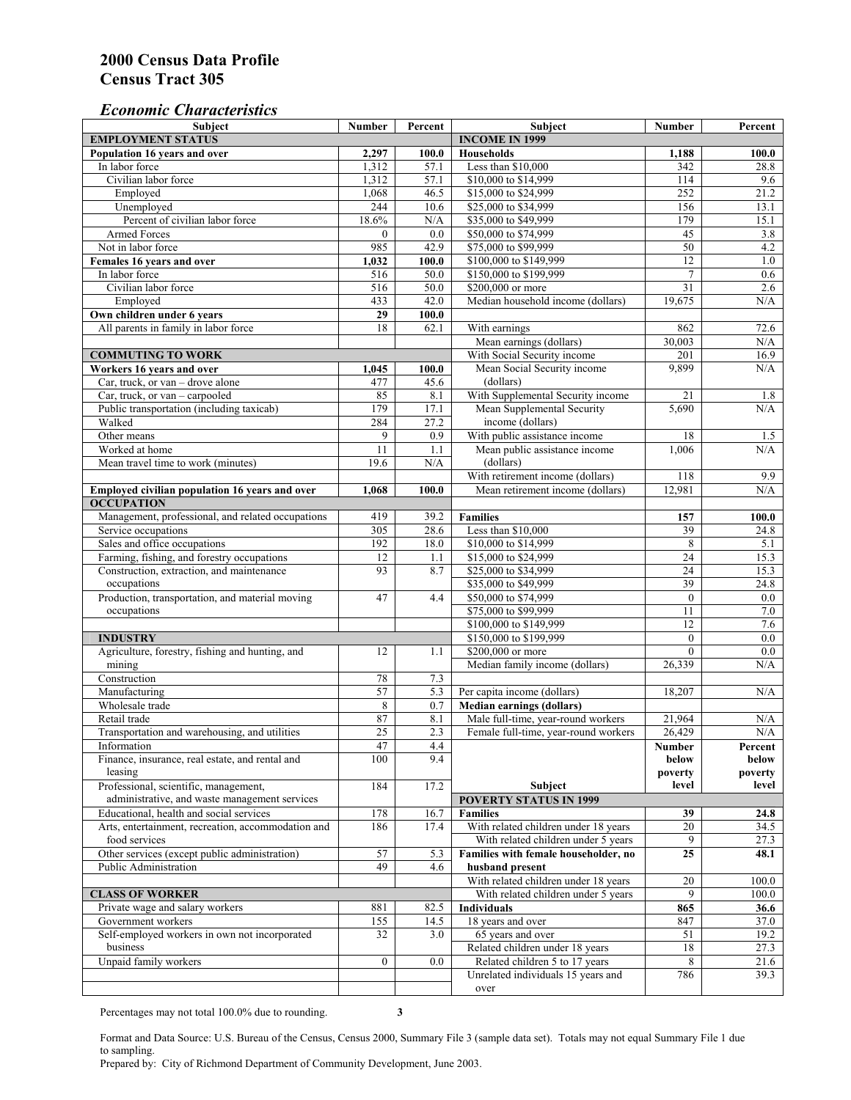# *Economic Characteristics*

| <b>Subject</b>                                     | Number           | Percent | Subject                              | Number          | Percent |
|----------------------------------------------------|------------------|---------|--------------------------------------|-----------------|---------|
| <b>EMPLOYMENT STATUS</b>                           |                  |         | <b>INCOME IN 1999</b>                |                 |         |
| Population 16 years and over                       | 2,297            | 100.0   | Households                           | 1,188           | 100.0   |
| In labor force                                     | 1,312            | 57.1    | Less than \$10,000                   | 342             | 28.8    |
| Civilian labor force                               | 1,312            | 57.1    | \$10,000 to \$14,999                 | 114             | 9.6     |
| Employed                                           | 1,068            | 46.5    | \$15,000 to \$24,999                 | 252             | 21.2    |
| Unemployed                                         | 244              | 10.6    | \$25,000 to \$34,999                 | 156             | 13.1    |
| Percent of civilian labor force                    | 18.6%            | N/A     | \$35,000 to \$49,999                 | 179             | 15.1    |
| Armed Forces                                       | $\mathbf{0}$     | 0.0     | \$50,000 to \$74,999                 | 45              | 3.8     |
| Not in labor force                                 | 985              | 42.9    | \$75,000 to \$99,999                 | 50              | 4.2     |
| Females 16 years and over                          | 1,032            | 100.0   | \$100,000 to \$149,999               | $\overline{12}$ | $1.0\,$ |
| In labor force                                     | 516              | 50.0    | \$150,000 to \$199,999               | $\overline{7}$  | 0.6     |
| Civilian labor force                               | 516              | 50.0    | \$200,000 or more                    | 31              | 2.6     |
| Employed                                           | 433              | 42.0    | Median household income (dollars)    | 19,675          | N/A     |
| Own children under 6 years                         | 29               | 100.0   |                                      |                 |         |
| All parents in family in labor force               | 18               | 62.1    | With earnings                        | 862             | 72.6    |
|                                                    |                  |         | Mean earnings (dollars)              | 30,003          | N/A     |
| <b>COMMUTING TO WORK</b>                           |                  |         | With Social Security income          | 201             | 16.9    |
| Workers 16 years and over                          | 1,045            | 100.0   | Mean Social Security income          | 9,899           | N/A     |
| Car, truck, or van – drove alone                   | 477              | 45.6    | (dollars)                            |                 |         |
| Car, truck, or van - carpooled                     | 85               | 8.1     | With Supplemental Security income    | 21              | 1.8     |
| Public transportation (including taxicab)          | 179              | 17.1    | Mean Supplemental Security           | 5,690           | N/A     |
| Walked                                             | 284              | 27.2    | income (dollars)                     |                 |         |
| Other means                                        | 9                | 0.9     | With public assistance income        | 18              | 1.5     |
| Worked at home                                     | 11               | 1.1     | Mean public assistance income        | 1,006           | N/A     |
| Mean travel time to work (minutes)                 | 19.6             | N/A     | (dollars)                            |                 |         |
|                                                    |                  |         | With retirement income (dollars)     | 118             | 9.9     |
| Employed civilian population 16 years and over     | 1,068            | 100.0   | Mean retirement income (dollars)     | 12,981          | N/A     |
| <b>OCCUPATION</b>                                  |                  |         |                                      |                 |         |
| Management, professional, and related occupations  | 419              | 39.2    | <b>Families</b>                      | 157             | 100.0   |
| Service occupations                                | 305              | 28.6    | Less than \$10,000                   | 39              | 24.8    |
| Sales and office occupations                       | 192              | 18.0    | \$10,000 to \$14,999                 | 8               | 5.1     |
| Farming, fishing, and forestry occupations         | 12               | 1.1     | \$15,000 to \$24,999                 | $\overline{24}$ | 15.3    |
| Construction, extraction, and maintenance          | 93               | 8.7     | \$25,000 to \$34,999                 | 24              | 15.3    |
| occupations                                        |                  |         | \$35,000 to \$49,999                 | 39              | 24.8    |
| Production, transportation, and material moving    | 47               | 4.4     | \$50,000 to \$74,999                 | $\mathbf{0}$    | 0.0     |
| occupations                                        |                  |         | \$75,000 to \$99,999                 | 11              | 7.0     |
|                                                    |                  |         | \$100,000 to \$149,999               | 12              | 7.6     |
| <b>INDUSTRY</b>                                    |                  |         | \$150,000 to \$199,999               | $\mathbf{0}$    | 0.0     |
| Agriculture, forestry, fishing and hunting, and    | 12               | 1.1     | \$200,000 or more                    | $\theta$        | 0.0     |
| mining                                             |                  |         | Median family income (dollars)       | 26,339          | N/A     |
| Construction                                       | 78               | 7.3     |                                      |                 |         |
| Manufacturing                                      | 57               | 5.3     | Per capita income (dollars)          | 18,207          | N/A     |
| Wholesale trade                                    | 8                | 0.7     | <b>Median earnings (dollars)</b>     |                 |         |
| Retail trade                                       | 87               | 8.1     | Male full-time, year-round workers   | 21,964          | N/A     |
| Transportation and warehousing, and utilities      | $\overline{25}$  | 2.3     | Female full-time, year-round workers | 26,429          | N/A     |
| Information                                        | 47               | 4.4     |                                      | Number          | Percent |
| Finance, insurance, real estate, and rental and    | 100              | 9.4     |                                      | below           | below   |
| leasing                                            |                  |         |                                      | poverty         | poverty |
| Professional, scientific, management,              | 184              | 17.2    | Subject                              | level           | level   |
| administrative, and waste management services      |                  |         | <b>POVERTY STATUS IN 1999</b>        |                 |         |
| Educational, health and social services            | 178              | 16.7    | <b>Families</b>                      | 39              | 24.8    |
| Arts, entertainment, recreation, accommodation and | 186              | 17.4    | With related children under 18 years | 20              | 34.5    |
| food services                                      |                  |         | With related children under 5 years  | 9               | 27.3    |
| Other services (except public administration)      | 57               | 5.3     | Families with female householder, no | 25              | 48.1    |
| Public Administration                              | 49               | 4.6     | husband present                      |                 |         |
|                                                    |                  |         | With related children under 18 years | 20              | 100.0   |
| <b>CLASS OF WORKER</b>                             |                  |         | With related children under 5 years  | 9               | 100.0   |
| Private wage and salary workers                    | 881              | 82.5    | Individuals                          | 865             | 36.6    |
| Government workers                                 | 155              | 14.5    | 18 years and over                    | 847             | 37.0    |
| Self-employed workers in own not incorporated      | 32               | 3.0     | 65 years and over                    | 51              | 19.2    |
| business                                           |                  |         | Related children under 18 years      | 18              | 27.3    |
| Unpaid family workers                              | $\boldsymbol{0}$ | 0.0     | Related children 5 to 17 years       | 8               | 21.6    |
|                                                    |                  |         | Unrelated individuals 15 years and   | 786             | 39.3    |
|                                                    |                  |         | over                                 |                 |         |
|                                                    |                  |         |                                      |                 |         |

Percentages may not total 100.0% due to rounding. **3** 

Format and Data Source: U.S. Bureau of the Census, Census 2000, Summary File 3 (sample data set). Totals may not equal Summary File 1 due to sampling.

Prepared by: City of Richmond Department of Community Development, June 2003.